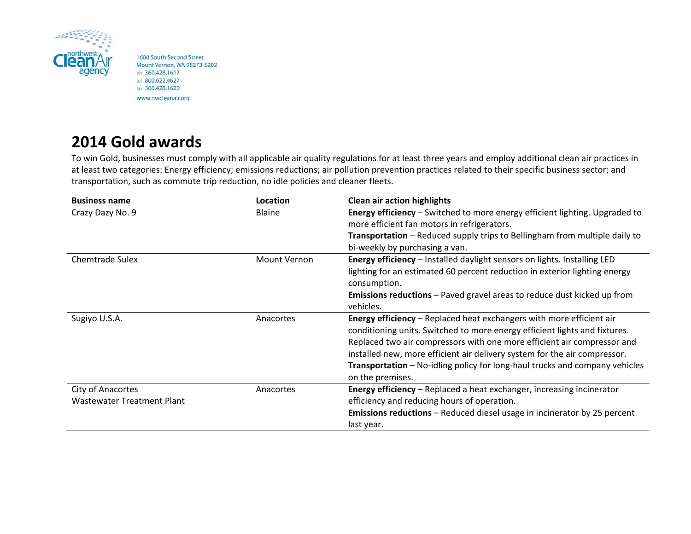

1600 South Second Street Mount Vernon, WA 98273-5202 ph 360.428.1617 tel 800.622.4627 fax 360.428.1620 www.nwcleanair.org

## **2014 Gold awards**

To win Gold, businesses must comply with all applicable air quality regulations for at least three years and employ additional clean air practices in at least two categories: Energy efficiency; emissions reductions; air pollution prevention practices related to their specific business sector; and transportation, such as commute trip reduction, no idle policies and cleaner fleets.

| <b>Business name</b>       | Location      | <b>Clean air action highlights</b>                                                 |
|----------------------------|---------------|------------------------------------------------------------------------------------|
| Crazy Dazy No. 9           | <b>Blaine</b> | <b>Energy efficiency</b> – Switched to more energy efficient lighting. Upgraded to |
|                            |               | more efficient fan motors in refrigerators.                                        |
|                            |               | Transportation - Reduced supply trips to Bellingham from multiple daily to         |
|                            |               | bi-weekly by purchasing a van.                                                     |
| <b>Chemtrade Sulex</b>     | Mount Vernon  | Energy efficiency - Installed daylight sensors on lights. Installing LED           |
|                            |               | lighting for an estimated 60 percent reduction in exterior lighting energy         |
|                            |               | consumption.                                                                       |
|                            |               | <b>Emissions reductions</b> – Paved gravel areas to reduce dust kicked up from     |
|                            |               | vehicles.                                                                          |
| Sugiyo U.S.A.              | Anacortes     | <b>Energy efficiency</b> – Replaced heat exchangers with more efficient air        |
|                            |               | conditioning units. Switched to more energy efficient lights and fixtures.         |
|                            |               | Replaced two air compressors with one more efficient air compressor and            |
|                            |               | installed new, more efficient air delivery system for the air compressor.          |
|                            |               | <b>Transportation</b> - No-idling policy for long-haul trucks and company vehicles |
|                            |               | on the premises.                                                                   |
| City of Anacortes          | Anacortes     | <b>Energy efficiency</b> – Replaced a heat exchanger, increasing incinerator       |
| Wastewater Treatment Plant |               | efficiency and reducing hours of operation.                                        |
|                            |               | <b>Emissions reductions</b> – Reduced diesel usage in incinerator by 25 percent    |
|                            |               | last year.                                                                         |